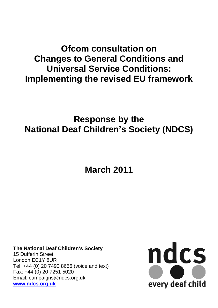## **Ofcom consultation on Changes to General Conditions and Universal Service Conditions: Implementing the revised EU framework**

# **Response by the National Deaf Children's Society (NDCS)**

**March 2011**

**The National Deaf Children's Society** 15 Dufferin Street London EC1Y 8UR Tel: +44 (0) 20 7490 8656 (voice and text) Fax: +44 (0) 20 7251 5020 Email: campaigns@ndcs.org.uk **[www.ndcs.org.uk](http://www.ndcs.org.uk/)**

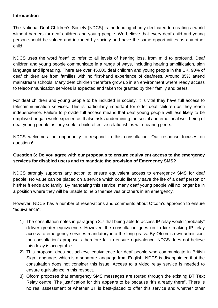#### **Introduction**

The National Deaf Children's Society (NDCS) is the leading charity dedicated to creating a world without barriers for deaf children and young people. We believe that every deaf child and young person should be valued and included by society and have the same opportunities as any other child.

NDCS uses the word 'deaf' to refer to all levels of hearing loss, from mild to profound. Deaf children and young people communicate in a range of ways, including hearing amplification, sign language and lipreading. There are over 45,000 deaf children and young people in the UK. 90% of deaf children are from families with no first-hand experience of deafness. Around 85% attend mainstream schools. Many deaf children therefore grow up in an environment where ready access to telecommunication services is expected and taken for granted by their family and peers.

For deaf children and young people to be included in society, it is vital they have full access to telecommunication services. This is particularly important for older deaf children as they reach independence. Failure to provide full access means that deaf young people will less likely to be employed or gain work experience. It also risks undermining the social and emotional well-being of deaf young people as they seek to build effective relationships with hearing peers.

NDCS welcomes the opportunity to respond to this consultation. Our response focuses on question 6.

### **Question 6: Do you agree with our proposals to ensure equivalent access to the emergency services for disabled users and to mandate the provision of Emergency SMS?**

NDCS strongly supports any action to ensure equivalent access to emergency SMS for deaf people. No value can be placed on a service which could literally save the life of a deaf person or his/her friends and family. By mandating this service, many deaf young people will no longer be in a position where they will be unable to help themselves or others in an emergency.

However, NDCS has a number of reservations and comments about Ofcom's approach to ensure "equivalence":

- 1) The consultation notes in paragraph 8.7 that being able to access IP relay would "probably" deliver greater equivalence. However, the consultation goes on to kick making IP relay access to emergency services mandatory into the long grass. By Ofcom's own admission, the consultation's proposals therefore fail to ensure equivalence. NDCS does not believe this delay is acceptable.
- 2) This proposal does not achieve equivalence for deaf people who communicate in British Sign Language, which is a separate language from English. NDCS is disappointed that the consultation does not consider this issue. Access to a video relay service is needed to ensure equivalence in this respect.
- 3) Ofcom proposes that emergency SMS messages are routed through the existing BT Text Relay centre. The justification for this appears to be because "it's already there". There is no real assessment of whether BT is best-placed to offer this service and whether other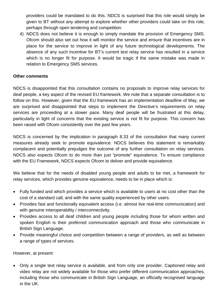providers could be mandated to do this. NDCS is surprised that this role would simply be given to BT without any attempt to explore whether other providers could take on this role, perhaps through open tendering and competition.

4) NDCS does not believe it is enough to simply mandate the provision of Emergency SMS. Ofcom should also set out how it will monitor the service and ensure that incentives are in place for the service to improve in light of any future technological developments. The absence of any such incentive for BT's current text relay service has resulted in a service which is no longer fit for purpose. It would be tragic if the same mistake was made in relation to Emergency SMS services.

#### **Other comments**

NDCS is disappointed that this consultation contains no proposals to improve relay services for deaf people, a key aspect of the revised EU framework. We note that a separate consultation is to follow on this. However, given that the EU framework has an implementation deadline of May, we are surprised and disappointed that steps to implement the Directive's requirements on relay services are proceeding at a slower pace. Many deaf people will be frustrated at this delay, particularly in light of concerns that the existing service is not fit for purpose. This concern has been raised with Ofcom consistently over the past few years.

NDCS is concerned by the implication in paragraph 8.33 of the consultation that many current measures already seek to promote equivalence. NDCS believes this statement is remarkably complacent and potentially prejudges the outcome of any further consultation on relay services. NDCS also expects Ofcom to do more than just "promote" equivalence. To ensure compliance with the EU Framework, NDCS expects Ofcom to deliver and provide equivalence.

We believe that for the needs of disabled young people and adults to be met, a framework for relay services, which provides genuine equivalence, needs to be in place which is:

- Fully funded and which provides a service which is available to users at no cost other than the cost of a standard call, and with the same quality experienced by other users.
- Provides fast and functionally equivalent access (i.e. almost live real-time communication) and with genuine interoperability / interconnectivity.
- Provides access to all deaf children and young people including those for whom written and spoken English is their preferred communication approach and those who communicate in British Sign Language.
- Provide meaningful choice and competition between a range of providers, as well as between a range of types of services.

However, at present:

• Only a single text relay service is available, and from only one provider. Captioned relay and video relay are not widely available for those who prefer different communication approaches, including those who communicate in British Sign Language, an officially recognised language in the UK.